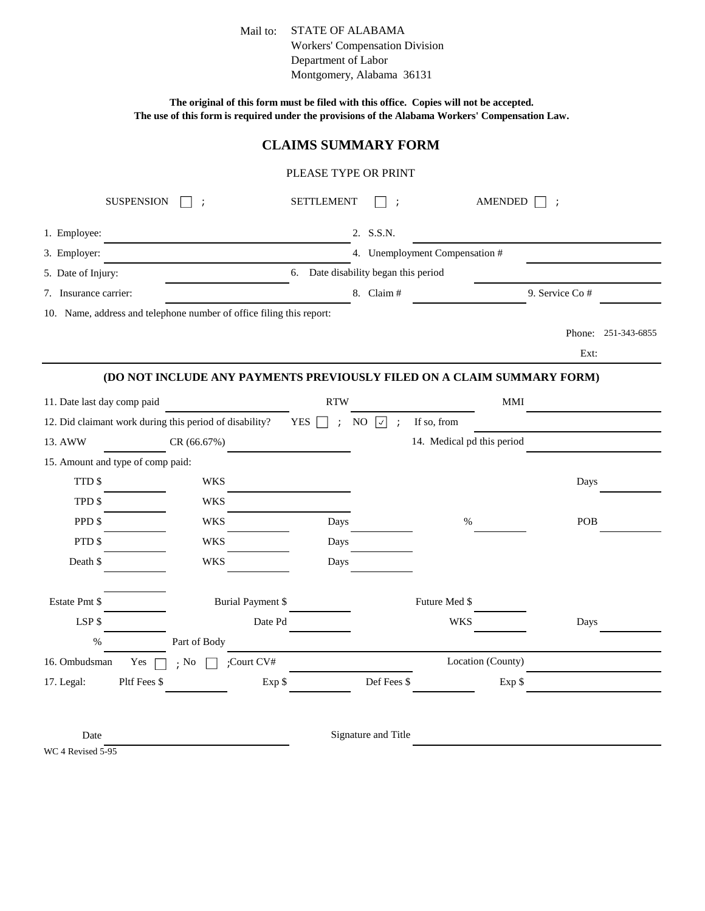Mail to: STATE OF ALABAMA Workers' Compensation Division Department of Labor Montgomery, Alabama 36131

**The original of this form must be filed with this office. Copies will not be accepted. The use of this form is required under the provisions of the Alabama Workers' Compensation Law.**

## **CLAIMS SUMMARY FORM**

## PLEASE TYPE OR PRINT

| <b>SUSPENSION</b>                                                    |              |                          | <b>SETTLEMENT</b>                             | $\ddot{\phantom{1}}$ | <b>AMENDED</b>                                                         |                |                     |
|----------------------------------------------------------------------|--------------|--------------------------|-----------------------------------------------|----------------------|------------------------------------------------------------------------|----------------|---------------------|
| 1. Employee:                                                         |              |                          | 2. S.S.N.                                     |                      |                                                                        |                |                     |
| 3. Employer:                                                         |              |                          |                                               |                      | 4. Unemployment Compensation #                                         |                |                     |
| 5. Date of Injury:                                                   |              |                          | 6. Date disability began this period          |                      |                                                                        |                |                     |
| 7. Insurance carrier:                                                |              |                          | 8. Claim #                                    |                      |                                                                        | 9. Service Co# |                     |
| 10. Name, address and telephone number of office filing this report: |              |                          |                                               |                      |                                                                        |                |                     |
|                                                                      |              |                          |                                               |                      |                                                                        |                | Phone: 251-343-6855 |
|                                                                      |              |                          |                                               |                      |                                                                        | Ext:           |                     |
|                                                                      |              |                          |                                               |                      | (DO NOT INCLUDE ANY PAYMENTS PREVIOUSLY FILED ON A CLAIM SUMMARY FORM) |                |                     |
| 11. Date last day comp paid                                          |              |                          | <b>RTW</b>                                    |                      | <b>MMI</b>                                                             |                |                     |
| 12. Did claimant work during this period of disability?              |              |                          | <b>YES</b><br>NO<br>☑<br>$\ddot{\phantom{a}}$ | $\cdot$ :            | If so, from                                                            |                |                     |
| 13. AWW                                                              | CR (66.67%)  |                          |                                               |                      | 14. Medical pd this period                                             |                |                     |
| 15. Amount and type of comp paid:                                    |              |                          |                                               |                      |                                                                        |                |                     |
| TTD \$                                                               | <b>WKS</b>   |                          |                                               |                      |                                                                        | Days           |                     |
| TPD \$                                                               | <b>WKS</b>   |                          |                                               |                      |                                                                        |                |                     |
| PPD \$                                                               | <b>WKS</b>   |                          | Days                                          |                      | $\%$                                                                   | POB            |                     |
| PTD \$                                                               | <b>WKS</b>   |                          | Days                                          |                      |                                                                        |                |                     |
| Death \$                                                             | <b>WKS</b>   |                          | Days                                          |                      |                                                                        |                |                     |
| Estate Pmt \$                                                        |              | <b>Burial Payment \$</b> |                                               |                      | Future Med \$                                                          |                |                     |
| LSP\$                                                                |              | Date Pd                  |                                               |                      | <b>WKS</b>                                                             | Days           |                     |
| $\%$                                                                 | Part of Body |                          |                                               |                      |                                                                        |                |                     |
| 16. Ombudsman<br>Yes                                                 | $\cdot$ No   | ;Court CV#               |                                               |                      | Location (County)                                                      |                |                     |
| Pltf Fees \$<br>17. Legal:                                           |              | Exp \$                   |                                               | Def Fees \$          | Exp \$                                                                 |                |                     |
|                                                                      |              |                          |                                               |                      |                                                                        |                |                     |

Date

Signature and Title

WC 4 Revised 5-95